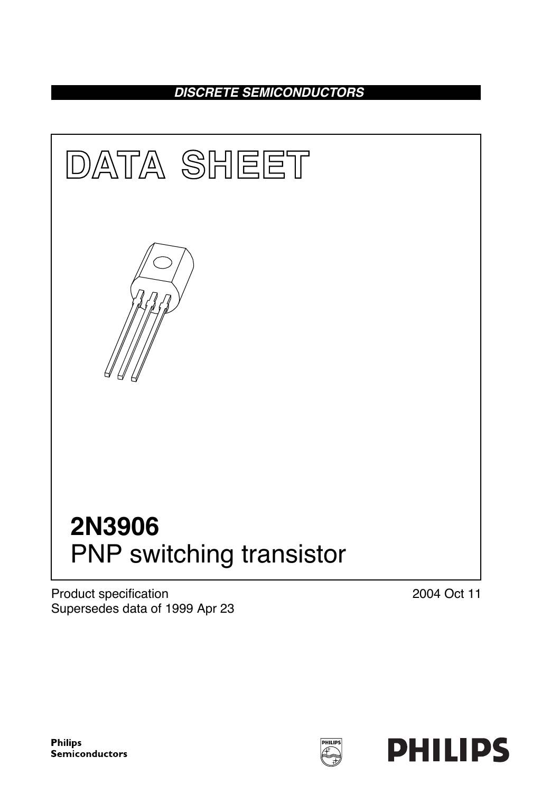**DISCRETE SEMICONDUCTORS**



Product specification Supersedes data of 1999 Apr 23 2004 Oct 11

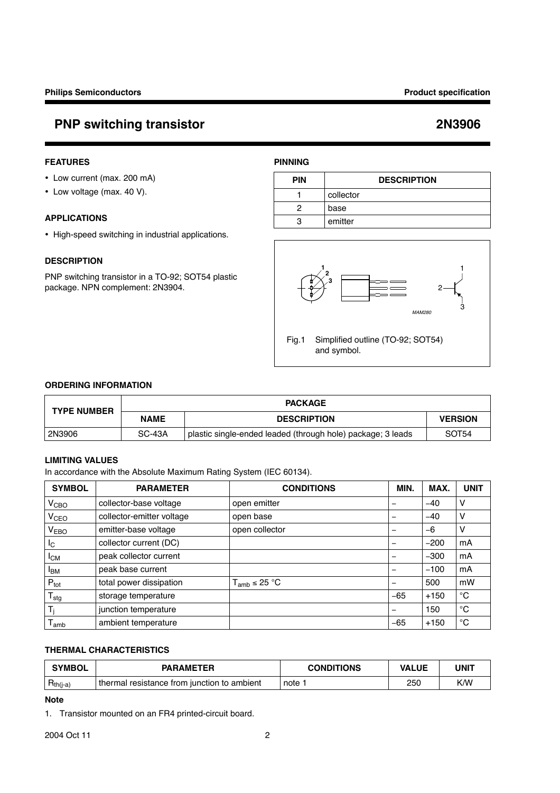## **FEATURES**

- Low current (max. 200 mA)
- Low voltage (max. 40 V).

## **APPLICATIONS**

• High-speed switching in industrial applications.

### **DESCRIPTION**

PNP switching transistor in a TO-92; SOT54 plastic package. NPN complement: 2N3904.



Fig.1 Simplified outline (TO-92; SOT54) and symbol.

**PIN DESCRIPTION**

1 collector 2 base 3 emitter

### **ORDERING INFORMATION**

| <b>TYPE NUMBER</b> |             | <b>PACKAGE</b>                                              |                   |  |
|--------------------|-------------|-------------------------------------------------------------|-------------------|--|
|                    | <b>NAME</b> | <b>DESCRIPTION</b>                                          | <b>VERSION</b>    |  |
| 2N3906             | SC-43A      | plastic single-ended leaded (through hole) package; 3 leads | SOT <sub>54</sub> |  |

**PINNING**

## **LIMITING VALUES**

In accordance with the Absolute Maximum Rating System (IEC 60134).

| <b>SYMBOL</b>         | <b>PARAMETER</b>          | <b>CONDITIONS</b>            | MIN.            | MAX.   | <b>UNIT</b> |
|-----------------------|---------------------------|------------------------------|-----------------|--------|-------------|
| V <sub>CBO</sub>      | collector-base voltage    | open emitter                 |                 | $-40$  | $\vee$      |
| V <sub>CEO</sub>      | collector-emitter voltage | open base                    |                 | $-40$  | ν           |
| V <sub>EBO</sub>      | emitter-base voltage      | open collector               |                 | -6     | ν           |
| $I_{\rm C}$           | collector current (DC)    |                              |                 | $-200$ | mA          |
| <b>I<sub>CM</sub></b> | peak collector current    |                              |                 | $-300$ | mA          |
| <b>I<sub>BM</sub></b> | peak base current         |                              |                 | $-100$ | mA          |
| $P_{\text{tot}}$      | total power dissipation   | $T_{amb} \leq 25 \text{ °C}$ | $\qquad \qquad$ | 500    | mW          |
| $T_{\text{stg}}$      | storage temperature       |                              | $-65$           | $+150$ | $^{\circ}C$ |
| T:                    | junction temperature      |                              |                 | 150    | °C          |
| I amb                 | ambient temperature       |                              | $-65$           | $+150$ | $^{\circ}C$ |

## **THERMAL CHARACTERISTICS**

| <b>SYMBOL</b> | <b>PARAMETER</b>                            | <b>CONDITIONS</b> | <b>VALUE</b> | <b>UNIT</b> |
|---------------|---------------------------------------------|-------------------|--------------|-------------|
| $Hth(j-a)$    | thermal resistance from junction to ambient | note              | 250          | K/W         |

## **Note**

1. Transistor mounted on an FR4 printed-circuit board.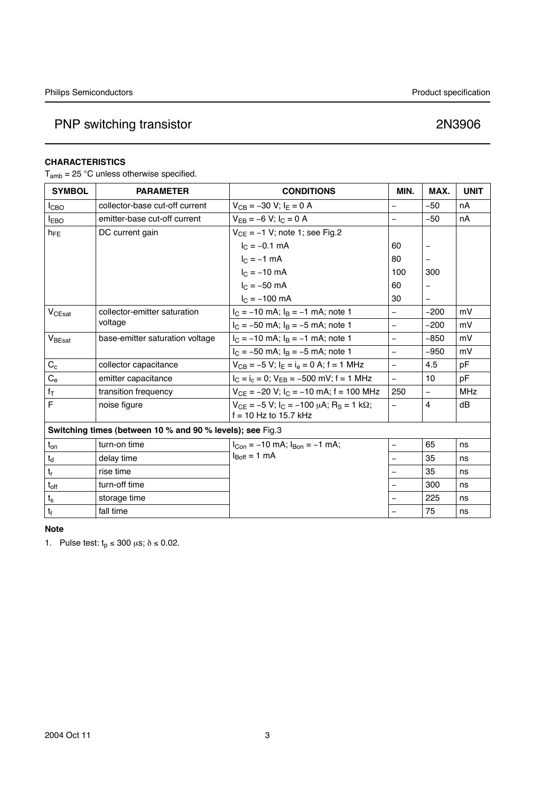## **CHARACTERISTICS**

 $T_{amb}$  = 25 °C unless otherwise specified.

| <b>SYMBOL</b>                                             | <b>PARAMETER</b>                | <b>CONDITIONS</b>                                          | MIN.                     | MAX.                     | <b>UNIT</b> |
|-----------------------------------------------------------|---------------------------------|------------------------------------------------------------|--------------------------|--------------------------|-------------|
| $I_{CBO}$                                                 | collector-base cut-off current  | $V_{CB} = -30 V$ ; $I_E = 0 A$                             | $\overline{\phantom{0}}$ | $-50$                    | nA          |
| $I_{EBO}$                                                 | emitter-base cut-off current    | $V_{EB} = -6 V$ ; $I_C = 0 A$                              | $\overline{\phantom{0}}$ | $-50$                    | nA          |
| $h_{FE}$                                                  | DC current gain                 | $V_{CF}$ = -1 V; note 1; see Fig.2                         |                          |                          |             |
|                                                           |                                 | $I_C = -0.1$ mA                                            | 60                       |                          |             |
|                                                           |                                 | $I_{C} = -1$ mA                                            | 80                       | $\overline{\phantom{0}}$ |             |
|                                                           |                                 | $I_{C} = -10$ mA                                           | 100                      | 300                      |             |
|                                                           |                                 | $I_{C} = -50$ mA                                           | 60                       |                          |             |
|                                                           |                                 | $I_C = -100$ mA                                            | 30                       |                          |             |
| V <sub>CEsat</sub>                                        | collector-emitter saturation    | $I_C = -10$ mA; $I_B = -1$ mA; note 1                      | $\overline{a}$           | $-200$                   | mV          |
|                                                           | voltage                         | $I_C = -50$ mA; $I_B = -5$ mA; note 1                      | $\overline{a}$           | $-200$                   | mV          |
| V <sub>BEsat</sub>                                        | base-emitter saturation voltage | $I_C = -10$ mA; $I_B = -1$ mA; note 1                      | $\overline{\phantom{0}}$ | $-850$                   | mV          |
|                                                           |                                 | $I_C = -50$ mA; $I_B = -5$ mA; note 1                      | $\overline{\phantom{0}}$ | $-950$                   | mV          |
| $C_{c}$                                                   | collector capacitance           | $V_{CB} = -5 V$ ; $I_E = I_e = 0 A$ ; f = 1 MHz            | $\equiv$                 | 4.5                      | pF          |
| $C_{e}$                                                   | emitter capacitance             | $I_C = I_c = 0$ ; $V_{EB} = -500$ mV; f = 1 MHz            | $\equiv$                 | 10                       | pF          |
| $\mathsf{f}_\mathsf{T}$                                   | transition frequency            | $V_{CE}$ = -20 V; $I_C$ = -10 mA; f = 100 MHz              | 250                      | $\overline{\phantom{0}}$ | <b>MHz</b>  |
| $\overline{\mathsf{F}}$                                   | noise figure                    | $V_{CF} = -5 V$ ; $I_C = -100 \mu A$ ; $R_S = 1 k\Omega$ ; | $\overline{a}$           | $\overline{4}$           | dB          |
|                                                           |                                 | $f = 10$ Hz to 15.7 kHz                                    |                          |                          |             |
| Switching times (between 10 % and 90 % levels); see Fig.3 |                                 |                                                            |                          |                          |             |
| $t_{on}$                                                  | turn-on time                    | $I_{Con} = -10$ mA; $I_{Bon} = -1$ mA;                     | $\overline{\phantom{0}}$ | 65                       | ns          |
| $\mathsf{t}_\mathsf{d}$                                   | delay time                      | $I_{\text{Boff}} = 1 \text{ mA}$                           | $\overline{\phantom{0}}$ | 35                       | ns          |
| $\mathsf{t}_{\mathsf{r}}$                                 | rise time                       |                                                            | $\overline{\phantom{0}}$ | 35                       | ns          |
| $t_{\rm off}$                                             | turn-off time                   |                                                            | $\overline{\phantom{0}}$ | 300                      | ns          |
| $t_{\rm s}$                                               | storage time                    |                                                            | $\overline{\phantom{0}}$ | 225                      | ns          |
| $\mathbf{t}_\text{f}$                                     | fall time                       |                                                            |                          | 75                       | ns          |

### **Note**

1. Pulse test:  $t_p \le 300 \mu s$ ;  $\delta \le 0.02$ .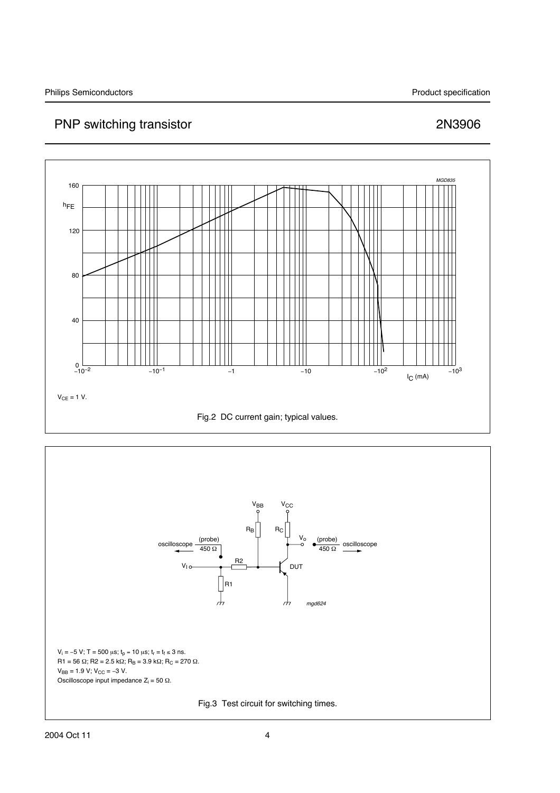

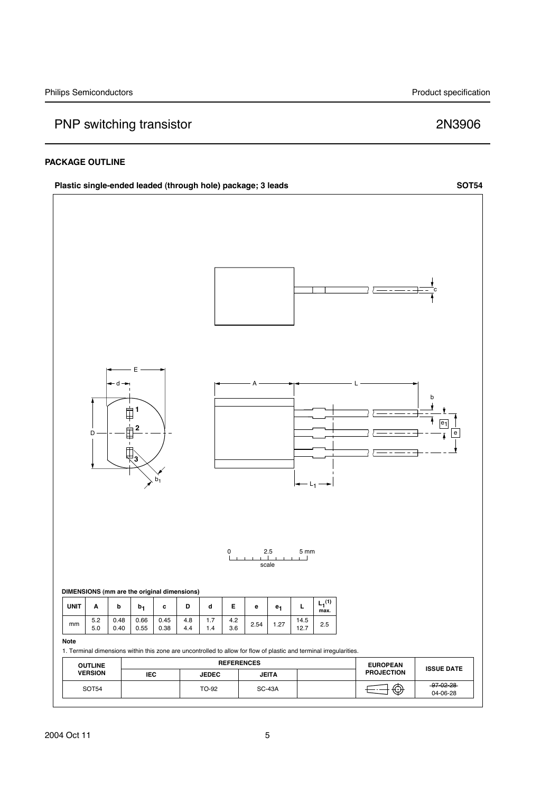### **PACKAGE OUTLINE**

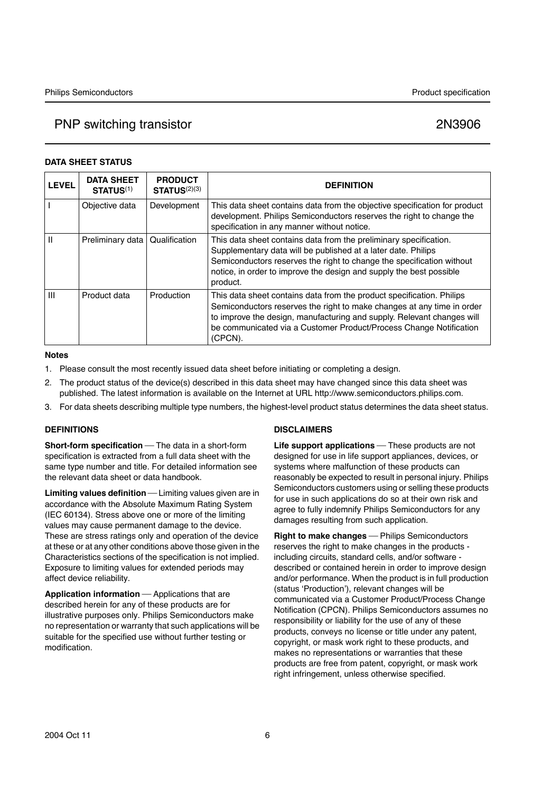## **DATA SHEET STATUS**

| <b>LEVEL</b>   | <b>DATA SHEET</b><br>STATUS <sup>(1)</sup> | <b>PRODUCT</b><br>STATUS <sup>(2)(3)</sup> | <b>DEFINITION</b>                                                                                                                                                                                                                                                                                          |
|----------------|--------------------------------------------|--------------------------------------------|------------------------------------------------------------------------------------------------------------------------------------------------------------------------------------------------------------------------------------------------------------------------------------------------------------|
|                | Objective data                             | Development                                | This data sheet contains data from the objective specification for product<br>development. Philips Semiconductors reserves the right to change the<br>specification in any manner without notice.                                                                                                          |
| Ш              | Preliminary data                           | Qualification                              | This data sheet contains data from the preliminary specification.<br>Supplementary data will be published at a later date. Philips<br>Semiconductors reserves the right to change the specification without<br>notice, in order to improve the design and supply the best possible<br>product.             |
| $\mathbf{III}$ | Product data                               | Production                                 | This data sheet contains data from the product specification. Philips<br>Semiconductors reserves the right to make changes at any time in order<br>to improve the design, manufacturing and supply. Relevant changes will<br>be communicated via a Customer Product/Process Change Notification<br>(CPCN). |

## **Notes**

- 1. Please consult the most recently issued data sheet before initiating or completing a design.
- 2. The product status of the device(s) described in this data sheet may have changed since this data sheet was published. The latest information is available on the Internet at URL http://www.semiconductors.philips.com.
- 3. For data sheets describing multiple type numbers, the highest-level product status determines the data sheet status.

## **DEFINITIONS**

**Short-form specification** - The data in a short-form specification is extracted from a full data sheet with the same type number and title. For detailed information see the relevant data sheet or data handbook.

**Limiting values definition** — Limiting values given are in accordance with the Absolute Maximum Rating System (IEC 60134). Stress above one or more of the limiting values may cause permanent damage to the device. These are stress ratings only and operation of the device at these or at any other conditions above those given in the Characteristics sections of the specification is not implied. Exposure to limiting values for extended periods may affect device reliability.

**Application information** — Applications that are described herein for any of these products are for illustrative purposes only. Philips Semiconductors make no representation or warranty that such applications will be suitable for the specified use without further testing or modification.

## **DISCLAIMERS**

**Life support applications** – These products are not designed for use in life support appliances, devices, or systems where malfunction of these products can reasonably be expected to result in personal injury. Philips Semiconductors customers using or selling these products for use in such applications do so at their own risk and agree to fully indemnify Philips Semiconductors for any damages resulting from such application.

**Right to make changes** - Philips Semiconductors reserves the right to make changes in the products including circuits, standard cells, and/or software described or contained herein in order to improve design and/or performance. When the product is in full production (status 'Production'), relevant changes will be communicated via a Customer Product/Process Change Notification (CPCN). Philips Semiconductors assumes no responsibility or liability for the use of any of these products, conveys no license or title under any patent, copyright, or mask work right to these products, and makes no representations or warranties that these products are free from patent, copyright, or mask work right infringement, unless otherwise specified.